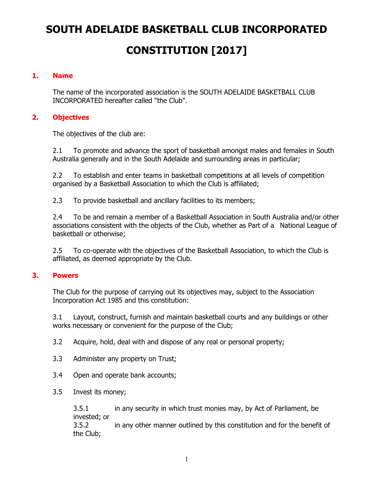# **SOUTH ADELAIDE BASKETBALL CLUB INCORPORATED CONSTITUTION [2017]**

## **1. Name**

The name of the incorporated association is the SOUTH ADELAIDE BASKETBALL CLUB INCORPORATED hereafter called "the Club".

## **2. Objectives**

The objectives of the club are:

2.1 To promote and advance the sport of basketball amongst males and females in South Australia generally and in the South Adelaide and surrounding areas in particular;

2.2 To establish and enter teams in basketball competitions at all levels of competition organised by a Basketball Association to which the Club is affiliated;

2.3 To provide basketball and ancillary facilities to its members;

2.4 To be and remain a member of a Basketball Association in South Australia and/or other associations consistent with the objects of the Club, whether as Part of a National League of basketball or otherwise;

2.5 To co-operate with the objectives of the Basketball Association, to which the Club is affiliated, as deemed appropriate by the Club.

### **3. Powers**

The Club for the purpose of carrying out its objectives may, subject to the Association Incorporation Act 1985 and this constitution:

3.1 Layout, construct, furnish and maintain basketball courts and any buildings or other works necessary or convenient for the purpose of the Club;

- 3.2 Acquire, hold, deal with and dispose of any real or personal property;
- 3.3 Administer any property on Trust;
- 3.4 Open and operate bank accounts;
- 3.5 Invest its money;

3.5.1 in any security in which trust monies may, by Act of Parliament, be invested; or 3.5.2 in any other manner outlined by this constitution and for the benefit of the Club;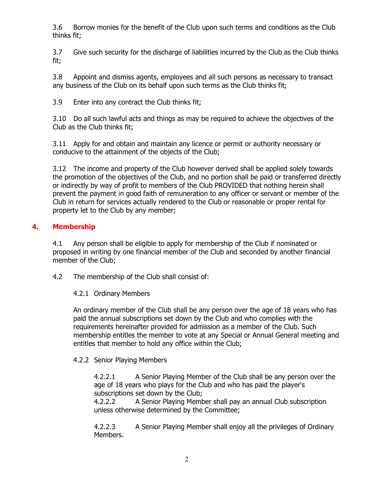3.6 Borrow monies for the benefit of the Club upon such terms and conditions as the Club thinks fit;

3.7 Give such security for the discharge of liabilities incurred by the Club as the Club thinks fit;

3.8 Appoint and dismiss agents, employees and all such persons as necessary to transact any business of the Club on its behalf upon such terms as the Club thinks fit;

3.9 Enter into any contract the Club thinks fit;

3.10 Do all such lawful acts and things as may be required to achieve the objectives of the Club as the Club thinks fit;

3.11 Apply for and obtain and maintain any licence or permit or authority necessary or conducive to the attainment of the objects of the Club;

3.12 The income and property of the Club however derived shall be applied solely towards the promotion of the objectives of the Club, and no portion shall be paid or transferred directly or indirectly by way of profit to members of the Club PROVIDED that nothing herein shall prevent the payment in good faith of remuneration to any officer or servant or member of the Club in return for services actually rendered to the Club or reasonable or proper rental for property let to the Club by any member;

## **4. Membership**

4.1 Any person shall be eligible to apply for membership of the Club if nominated or proposed in writing by one financial member of the Club and seconded by another financial member of the Club;

4.2 The membership of the Club shall consist of:

4.2.1 Ordinary Members

An ordinary member of the Club shall be any person over the age of 18 years who has paid the annual subscriptions set down by the Club and who complies with the requirements hereinafter provided for admission as a member of the Club. Such membership entitles the member to vote at any Special or Annual General meeting and entitles that member to hold any office within the Club;

## 4.2.2 Senior Playing Members

4.2.2.1 A Senior Playing Member of the Club shall be any person over the age of 18 years who plays for the Club and who has paid the player's subscriptions set down by the Club;

4.2.2.2 A Senior Playing Member shall pay an annual Club subscription unless otherwise determined by the Committee;

4.2.2.3 A Senior Playing Member shall enjoy all the privileges of Ordinary Members.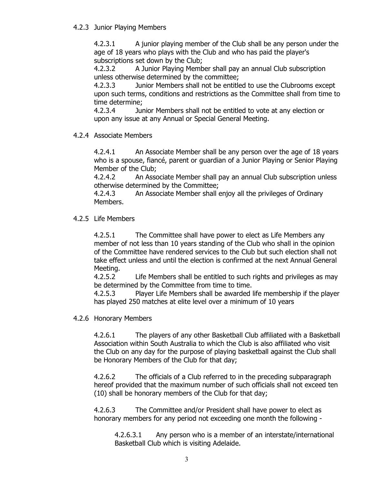4.2.3 Junior Playing Members

4.2.3.1 A junior playing member of the Club shall be any person under the age of 18 years who plays with the Club and who has paid the player's subscriptions set down by the Club;

4.2.3.2 A Junior Playing Member shall pay an annual Club subscription unless otherwise determined by the committee;

4.2.3.3 Junior Members shall not be entitled to use the Clubrooms except upon such terms, conditions and restrictions as the Committee shall from time to time determine;

4.2.3.4 Junior Members shall not be entitled to vote at any election or upon any issue at any Annual or Special General Meeting.

4.2.4 Associate Members

4.2.4.1 An Associate Member shall be any person over the age of 18 years who is a spouse, fiancé, parent or guardian of a Junior Playing or Senior Playing Member of the Club;

4.2.4.2 An Associate Member shall pay an annual Club subscription unless otherwise determined by the Committee;

4.2.4.3 An Associate Member shall enjoy all the privileges of Ordinary Members.

4.2.5 Life Members

4.2.5.1 The Committee shall have power to elect as Life Members any member of not less than 10 years standing of the Club who shall in the opinion of the Committee have rendered services to the Club but such election shall not take effect unless and until the election is confirmed at the next Annual General Meeting.

4.2.5.2 Life Members shall be entitled to such rights and privileges as may be determined by the Committee from time to time.

4.2.5.3 Player Life Members shall be awarded life membership if the player has played 250 matches at elite level over a minimum of 10 years

4.2.6 Honorary Members

4.2.6.1 The players of any other Basketball Club affiliated with a Basketball Association within South Australia to which the Club is also affiliated who visit the Club on any day for the purpose of playing basketball against the Club shall be Honorary Members of the Club for that day;

4.2.6.2 The officials of a Club referred to in the preceding subparagraph hereof provided that the maximum number of such officials shall not exceed ten (10) shall be honorary members of the Club for that day;

4.2.6.3 The Committee and/or President shall have power to elect as honorary members for any period not exceeding one month the following -

4.2.6.3.1 Any person who is a member of an interstate/international Basketball Club which is visiting Adelaide.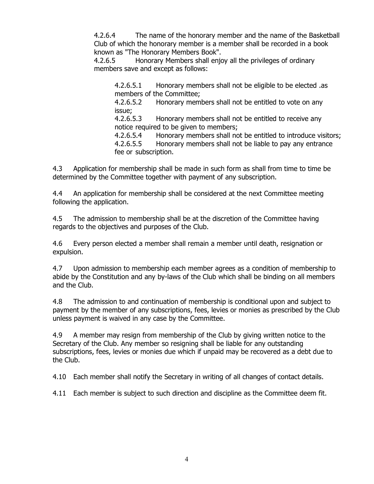4.2.6.4 The name of the honorary member and the name of the Basketball Club of which the honorary member is a member shall be recorded in a book known as "The Honorary Members Book".

4.2.6.5 Honorary Members shall enjoy all the privileges of ordinary members save and except as follows:

4.2.6.5.1 Honorary members shall not be eligible to be elected .as members of the Committee;

4.2.6.5.2 Honorary members shall not be entitled to vote on any issue;

4.2.6.5.3 Honorary members shall not be entitled to receive any notice required to be given to members;

4.2.6.5.4 Honorary members shall not be entitled to introduce visitors; 4.2.6.5.5 Honorary members shall not be liable to pay any entrance fee or subscription.

4.3 Application for membership shall be made in such form as shall from time to time be determined by the Committee together with payment of any subscription.

4.4 An application for membership shall be considered at the next Committee meeting following the application.

4.5 The admission to membership shall be at the discretion of the Committee having regards to the objectives and purposes of the Club.

4.6 Every person elected a member shall remain a member until death, resignation or expulsion.

4.7 Upon admission to membership each member agrees as a condition of membership to abide by the Constitution and any by-laws of the Club which shall be binding on all members and the Club.

4.8 The admission to and continuation of membership is conditional upon and subject to payment by the member of any subscriptions, fees, levies or monies as prescribed by the Club unless payment is waived in any case by the Committee.

4.9 A member may resign from membership of the Club by giving written notice to the Secretary of the Club. Any member so resigning shall be liable for any outstanding subscriptions, fees, levies or monies due which if unpaid may be recovered as a debt due to the Club.

4.10 Each member shall notify the Secretary in writing of all changes of contact details.

4.11 Each member is subject to such direction and discipline as the Committee deem fit.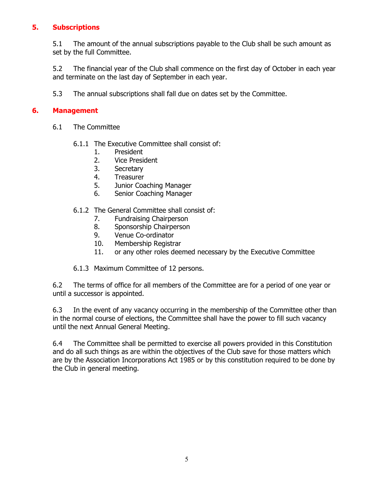## **5. Subscriptions**

5.1 The amount of the annual subscriptions payable to the Club shall be such amount as set by the full Committee.

5.2 The financial year of the Club shall commence on the first day of October in each year and terminate on the last day of September in each year.

5.3 The annual subscriptions shall fall due on dates set by the Committee.

### **6. Management**

- 6.1 The Committee
	- 6.1.1 The Executive Committee shall consist of:
		- 1. President
		- 2. Vice President
		- 3. Secretary
		- 4. Treasurer
		- 5. Junior Coaching Manager
		- 6. Senior Coaching Manager

#### 6.1.2 The General Committee shall consist of:

- 7. Fundraising Chairperson
- 8. Sponsorship Chairperson
- 9. Venue Co-ordinator
- 10. Membership Registrar
- 11. or any other roles deemed necessary by the Executive Committee
- 6.1.3 Maximum Committee of 12 persons.

6.2 The terms of office for all members of the Committee are for a period of one year or until a successor is appointed.

6.3 In the event of any vacancy occurring in the membership of the Committee other than in the normal course of elections, the Committee shall have the power to fill such vacancy until the next Annual General Meeting.

6.4 The Committee shall be permitted to exercise all powers provided in this Constitution and do all such things as are within the objectives of the Club save for those matters which are by the Association Incorporations Act 1985 or by this constitution required to be done by the Club in general meeting.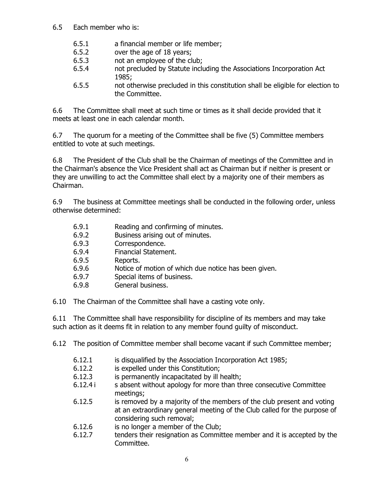- 6.5 Each member who is:
	- 6.5.1 a financial member or life member;
	- 6.5.2 over the age of 18 years;
	- 6.5.3 not an employee of the club;
	- 6.5.4 not precluded by Statute including the Associations Incorporation Act 1985;
	- 6.5.5 not otherwise precluded in this constitution shall be eligible for election to the Committee.

6.6 The Committee shall meet at such time or times as it shall decide provided that it meets at least one in each calendar month.

6.7 The quorum for a meeting of the Committee shall be five (5) Committee members entitled to vote at such meetings.

6.8 The President of the Club shall be the Chairman of meetings of the Committee and in the Chairman's absence the Vice President shall act as Chairman but if neither is present or they are unwilling to act the Committee shall elect by a majority one of their members as Chairman.

6.9 The business at Committee meetings shall be conducted in the following order, unless otherwise determined:

- 6.9.1 Reading and confirming of minutes.
- 6.9.2 Business arising out of minutes.
- 6.9.3 Correspondence.
- 6.9.4 Financial Statement.
- 6.9.5 Reports.
- 6.9.6 Notice of motion of which due notice has been given.
- 6.9.7 Special items of business.
- 6.9.8 General business.

6.10 The Chairman of the Committee shall have a casting vote only.

6.11 The Committee shall have responsibility for discipline of its members and may take such action as it deems fit in relation to any member found guilty of misconduct.

6.12 The position of Committee member shall become vacant if such Committee member;

- 6.12.1 is disqualified by the Association Incorporation Act 1985;
- 6.12.2 is expelled under this Constitution;
- 6.12.3 is permanently incapacitated by ill health;
- 6.12.4 i s absent without apology for more than three consecutive Committee meetings;
- 6.12.5 is removed by a majority of the members of the club present and voting at an extraordinary general meeting of the Club called for the purpose of considering such removal;
- 6.12.6 is no longer a member of the Club;
- 6.12.7 tenders their resignation as Committee member and it is accepted by the Committee.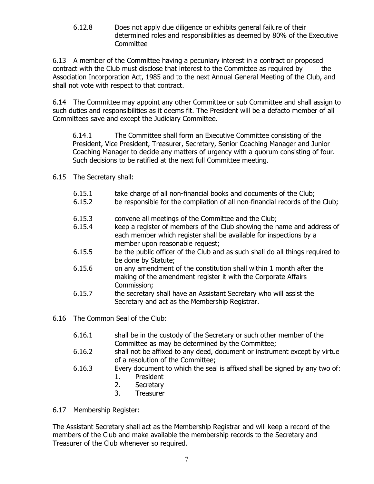6.12.8 Does not apply due diligence or exhibits general failure of their determined roles and responsibilities as deemed by 80% of the Executive **Committee** 

6.13 A member of the Committee having a pecuniary interest in a contract or proposed contract with the Club must disclose that interest to the Committee as required by the Association Incorporation Act, 1985 and to the next Annual General Meeting of the Club, and shall not vote with respect to that contract.

6.14 The Committee may appoint any other Committee or sub Committee and shall assign to such duties and responsibilities as it deems fit. The President will be a defacto member of all Committees save and except the Judiciary Committee.

6.14.1 The Committee shall form an Executive Committee consisting of the President, Vice President, Treasurer, Secretary, Senior Coaching Manager and Junior Coaching Manager to decide any matters of urgency with a quorum consisting of four. Such decisions to be ratified at the next full Committee meeting.

## 6.15 The Secretary shall:

- 6.15.1 take charge of all non-financial books and documents of the Club;
- 6.15.2 be responsible for the compilation of all non-financial records of the Club;
- 6.15.3 convene all meetings of the Committee and the Club;
- 6.15.4 keep a register of members of the Club showing the name and address of each member which register shall be available for inspections by a member upon reasonable request;
- 6.15.5 be the public officer of the Club and as such shall do all things required to be done by Statute;
- 6.15.6 on any amendment of the constitution shall within 1 month after the making of the amendment register it with the Corporate Affairs Commission;
- 6.15.7 the secretary shall have an Assistant Secretary who will assist the Secretary and act as the Membership Registrar.
- 6.16 The Common Seal of the Club:
	- 6.16.1 shall be in the custody of the Secretary or such other member of the Committee as may be determined by the Committee;
	- 6.16.2 shall not be affixed to any deed, document or instrument except by virtue of a resolution of the Committee;
	- 6.16.3 Every document to which the seal is affixed shall be signed by any two of:
		- 1. President
		- 2. Secretary
		- 3. Treasurer

6.17 Membership Register:

The Assistant Secretary shall act as the Membership Registrar and will keep a record of the members of the Club and make available the membership records to the Secretary and Treasurer of the Club whenever so required.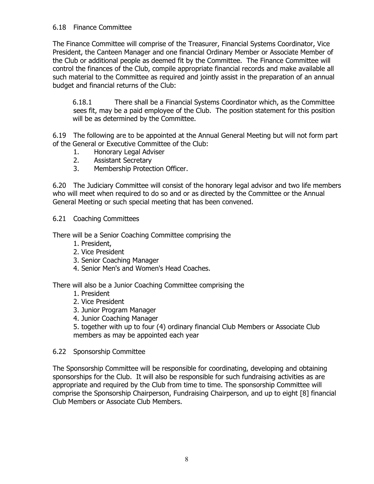## 6.18 Finance Committee

The Finance Committee will comprise of the Treasurer, Financial Systems Coordinator, Vice President, the Canteen Manager and one financial Ordinary Member or Associate Member of the Club or additional people as deemed fit by the Committee. The Finance Committee will control the finances of the Club, compile appropriate financial records and make available all such material to the Committee as required and jointly assist in the preparation of an annual budget and financial returns of the Club:

6.18.1 There shall be a Financial Systems Coordinator which, as the Committee sees fit, may be a paid employee of the Club. The position statement for this position will be as determined by the Committee.

6.19 The following are to be appointed at the Annual General Meeting but will not form part of the General or Executive Committee of the Club:

- 1. Honorary Legal Adviser
- 2. Assistant Secretary
- 3. Membership Protection Officer.

6.20 The Judiciary Committee will consist of the honorary legal advisor and two life members who will meet when required to do so and or as directed by the Committee or the Annual General Meeting or such special meeting that has been convened.

6.21 Coaching Committees

There will be a Senior Coaching Committee comprising the

- 1. President,
- 2. Vice President
- 3. Senior Coaching Manager
- 4. Senior Men's and Women's Head Coaches.

There will also be a Junior Coaching Committee comprising the

- 1. President
- 2. Vice President
- 3. Junior Program Manager
- 4. Junior Coaching Manager

5. together with up to four (4) ordinary financial Club Members or Associate Club members as may be appointed each year

6.22 Sponsorship Committee

The Sponsorship Committee will be responsible for coordinating, developing and obtaining sponsorships for the Club. It will also be responsible for such fundraising activities as are appropriate and required by the Club from time to time. The sponsorship Committee will comprise the Sponsorship Chairperson, Fundraising Chairperson, and up to eight [8] financial Club Members or Associate Club Members.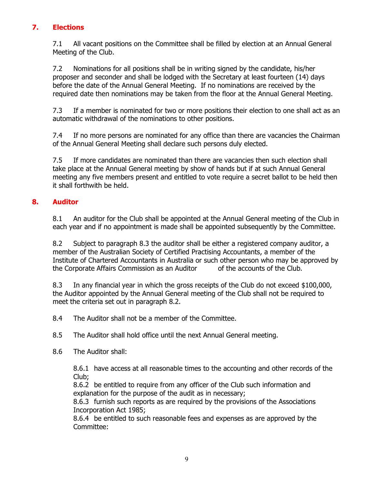## **7. Elections**

7.1 All vacant positions on the Committee shall be filled by election at an Annual General Meeting of the Club.

7.2 Nominations for all positions shall be in writing signed by the candidate, his/her proposer and seconder and shall be lodged with the Secretary at least fourteen (14) days before the date of the Annual General Meeting. If no nominations are received by the required date then nominations may be taken from the floor at the Annual General Meeting.

7.3 If a member is nominated for two or more positions their election to one shall act as an automatic withdrawal of the nominations to other positions.

7.4 If no more persons are nominated for any office than there are vacancies the Chairman of the Annual General Meeting shall declare such persons duly elected.

7.5 If more candidates are nominated than there are vacancies then such election shall take place at the Annual General meeting by show of hands but if at such Annual General meeting any five members present and entitled to vote require a secret ballot to be held then it shall forthwith be held.

## **8. Auditor**

8.1 An auditor for the Club shall be appointed at the Annual General meeting of the Club in each year and if no appointment is made shall be appointed subsequently by the Committee.

8.2 Subject to paragraph 8.3 the auditor shall be either a registered company auditor, a member of the Australian Society of Certified Practising Accountants, a member of the Institute of Chartered Accountants in Australia or such other person who may be approved by the Corporate Affairs Commission as an Auditor of the accounts of the Club.

8.3 In any financial year in which the gross receipts of the Club do not exceed \$100,000, the Auditor appointed by the Annual General meeting of the Club shall not be required to meet the criteria set out in paragraph 8.2.

8.4 The Auditor shall not be a member of the Committee.

8.5 The Auditor shall hold office until the next Annual General meeting.

8.6 The Auditor shall:

8.6.1 have access at all reasonable times to the accounting and other records of the Club;

8.6.2 be entitled to require from any officer of the Club such information and explanation for the purpose of the audit as in necessary;

8.6.3 furnish such reports as are required by the provisions of the Associations Incorporation Act 1985;

8.6.4 be entitled to such reasonable fees and expenses as are approved by the Committee: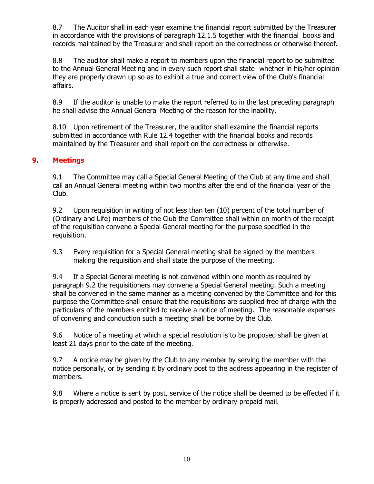8.7 The Auditor shall in each year examine the financial report submitted by the Treasurer in accordance with the provisions of paragraph 12.1.5 together with the financial books and records maintained by the Treasurer and shall report on the correctness or otherwise thereof.

8.8 The auditor shall make a report to members upon the financial report to be submitted to the Annual General Meeting and in every such report shall state whether in his/her opinion they are properly drawn up so as to exhibit a true and correct view of the Club's financial affairs.

8.9 If the auditor is unable to make the report referred to in the last preceding paragraph he shall advise the Annual General Meeting of the reason for the inability.

8.10 Upon retirement of the Treasurer, the auditor shall examine the financial reports submitted in accordance with Rule 12.4 together with the financial books and records maintained by the Treasurer and shall report on the correctness or otherwise.

## **9. Meetings**

9.1 The Committee may call a Special General Meeting of the Club at any time and shall call an Annual General meeting within two months after the end of the financial year of the Club.

9.2 Upon requisition in writing of not less than ten (10) percent of the total number of (Ordinary and Life) members of the Club the Committee shall within on month of the receipt of the requisition convene a Special General meeting for the purpose specified in the requisition.

9.3 Every requisition for a Special General meeting shall be signed by the members making the requisition and shall state the purpose of the meeting.

9.4 If a Special General meeting is not convened within one month as required by paragraph 9.2 the requisitioners may convene a Special General meeting. Such a meeting shall be convened in the same manner as a meeting convened by the Committee and for this purpose the Committee shall ensure that the requisitions are supplied free of charge with the particulars of the members entitled to receive a notice of meeting. The reasonable expenses of convening and conduction such a meeting shall be borne by the Club.

9.6 Notice of a meeting at which a special resolution is to be proposed shall be given at least 21 days prior to the date of the meeting.

9.7 A notice may be given by the Club to any member by serving the member with the notice personally, or by sending it by ordinary post to the address appearing in the register of members.

9.8 Where a notice is sent by post, service of the notice shall be deemed to be effected if it is properly addressed and posted to the member by ordinary prepaid mail.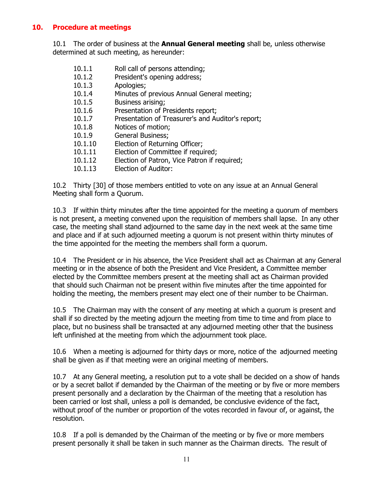## **10. Procedure at meetings**

10.1 The order of business at the **Annual General meeting** shall be, unless otherwise determined at such meeting, as hereunder:

- 10.1.1 Roll call of persons attending;
- 10.1.2 President's opening address;
- 10.1.3 Apologies;
- 10.1.4 Minutes of previous Annual General meeting;
- 10.1.5 Business arising;
- 10.1.6 Presentation of Presidents report;
- 10.1.7 Presentation of Treasurer's and Auditor's report;
- 10.1.8 Notices of motion;
- 10.1.9 General Business;
- 10.1.10 Election of Returning Officer;
- 10.1.11 Election of Committee if required;
- 10.1.12 Election of Patron, Vice Patron if required;
- 10.1.13 Election of Auditor:

10.2 Thirty [30] of those members entitled to vote on any issue at an Annual General Meeting shall form a Quorum.

10.3 If within thirty minutes after the time appointed for the meeting a quorum of members is not present, a meeting convened upon the requisition of members shall lapse. In any other case, the meeting shall stand adjourned to the same day in the next week at the same time and place and if at such adjourned meeting a quorum is not present within thirty minutes of the time appointed for the meeting the members shall form a quorum.

10.4 The President or in his absence, the Vice President shall act as Chairman at any General meeting or in the absence of both the President and Vice President, a Committee member elected by the Committee members present at the meeting shall act as Chairman provided that should such Chairman not be present within five minutes after the time appointed for holding the meeting, the members present may elect one of their number to be Chairman.

10.5 The Chairman may with the consent of any meeting at which a quorum is present and shall if so directed by the meeting adjourn the meeting from time to time and from place to place, but no business shall be transacted at any adjourned meeting other that the business left unfinished at the meeting from which the adjournment took place.

10.6 When a meeting is adjourned for thirty days or more, notice of the adjourned meeting shall be given as if that meeting were an original meeting of members.

10.7 At any General meeting, a resolution put to a vote shall be decided on a show of hands or by a secret ballot if demanded by the Chairman of the meeting or by five or more members present personally and a declaration by the Chairman of the meeting that a resolution has been carried or lost shall, unless a poll is demanded, be conclusive evidence of the fact, without proof of the number or proportion of the votes recorded in favour of, or against, the resolution.

10.8 If a poll is demanded by the Chairman of the meeting or by five or more members present personally it shall be taken in such manner as the Chairman directs. The result of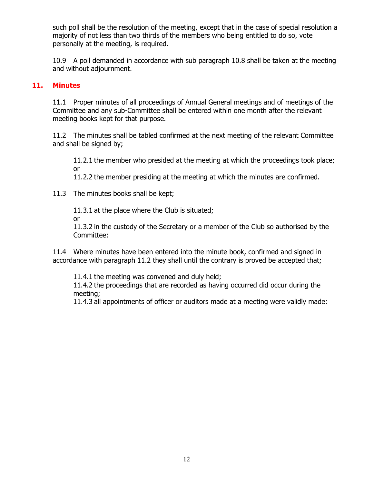such poll shall be the resolution of the meeting, except that in the case of special resolution a majority of not less than two thirds of the members who being entitled to do so, vote personally at the meeting, is required.

10.9 A poll demanded in accordance with sub paragraph 10.8 shall be taken at the meeting and without adjournment.

### **11. Minutes**

11.1 Proper minutes of all proceedings of Annual General meetings and of meetings of the Committee and any sub-Committee shall be entered within one month after the relevant meeting books kept for that purpose.

11.2 The minutes shall be tabled confirmed at the next meeting of the relevant Committee and shall be signed by;

11.2.1 the member who presided at the meeting at which the proceedings took place; or

11.2.2 the member presiding at the meeting at which the minutes are confirmed.

11.3 The minutes books shall be kept;

11.3.1 at the place where the Club is situated;

or

11.3.2 in the custody of the Secretary or a member of the Club so authorised by the Committee:

11.4 Where minutes have been entered into the minute book, confirmed and signed in accordance with paragraph 11.2 they shall until the contrary is proved be accepted that;

11.4.1 the meeting was convened and duly held;

11.4.2 the proceedings that are recorded as having occurred did occur during the meeting;

11.4.3 all appointments of officer or auditors made at a meeting were validly made: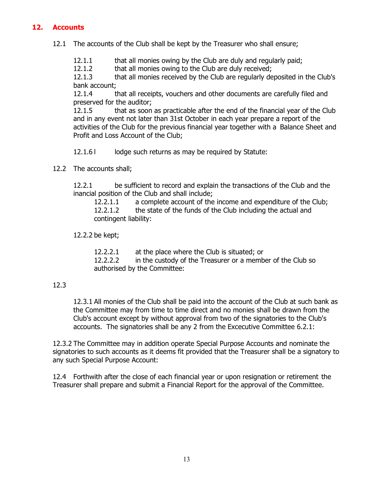## **12. Accounts**

- 12.1 The accounts of the Club shall be kept by the Treasurer who shall ensure;
	- 12.1.1 that all monies owing by the Club are duly and regularly paid;

12.1.2 that all monies owing to the Club are duly received;

12.1.3 that all monies received by the Club are regularly deposited in the Club's bank account;

12.1.4 that all receipts, vouchers and other documents are carefully filed and preserved for the auditor;

12.1.5 that as soon as practicable after the end of the financial year of the Club and in any event not later than 31st October in each year prepare a report of the activities of the Club for the previous financial year together with a Balance Sheet and Profit and Loss Account of the Club;

12.1.6 l lodge such returns as may be required by Statute:

12.2 The accounts shall;

12.2.1 be sufficient to record and explain the transactions of the Club and the inancial position of the Club and shall include;

12.2.1.1 a complete account of the income and expenditure of the Club; 12.2.1.2 the state of the funds of the Club including the actual and contingent liability:

12.2.2 be kept;

12.2.2.1 at the place where the Club is situated; or 12.2.2.2 in the custody of the Treasurer or a member of the Club so authorised by the Committee:

### 12.3

12.3.1 All monies of the Club shall be paid into the account of the Club at such bank as the Committee may from time to time direct and no monies shall be drawn from the Club's account except by without approval from two of the signatories to the Club's accounts. The signatories shall be any 2 from the Excecutive Committee 6.2.1:

12.3.2 The Committee may in addition operate Special Purpose Accounts and nominate the signatories to such accounts as it deems fit provided that the Treasurer shall be a signatory to any such Special Purpose Account:

12.4 Forthwith after the close of each financial year or upon resignation or retirement the Treasurer shall prepare and submit a Financial Report for the approval of the Committee.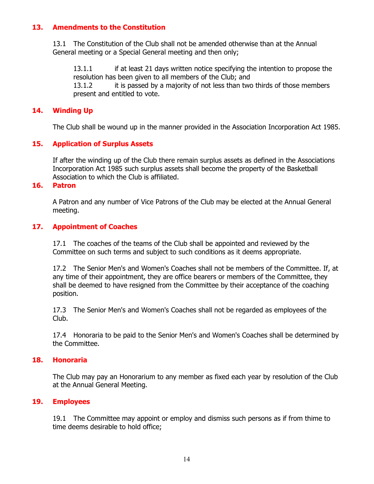#### **13. Amendments to the Constitution**

13.1 The Constitution of the Club shall not be amended otherwise than at the Annual General meeting or a Special General meeting and then only;

13.1.1 if at least 21 days written notice specifying the intention to propose the resolution has been given to all members of the Club; and 13.1.2 it is passed by a majority of not less than two thirds of those members present and entitled to vote.

#### **14. Winding Up**

The Club shall be wound up in the manner provided in the Association Incorporation Act 1985.

#### **15. Application of Surplus Assets**

If after the winding up of the Club there remain surplus assets as defined in the Associations Incorporation Act 1985 such surplus assets shall become the property of the Basketball Association to which the Club is affiliated.

#### **16. Patron**

A Patron and any number of Vice Patrons of the Club may be elected at the Annual General meeting.

#### **17. Appointment of Coaches**

17.1 The coaches of the teams of the Club shall be appointed and reviewed by the Committee on such terms and subject to such conditions as it deems appropriate.

17.2 The Senior Men's and Women's Coaches shall not be members of the Committee. If, at any time of their appointment, they are office bearers or members of the Committee, they shall be deemed to have resigned from the Committee by their acceptance of the coaching position.

17.3 The Senior Men's and Women's Coaches shall not be regarded as employees of the Club.

17.4 Honoraria to be paid to the Senior Men's and Women's Coaches shall be determined by the Committee.

#### **18. Honoraria**

The Club may pay an Honorarium to any member as fixed each year by resolution of the Club at the Annual General Meeting.

#### **19. Employees**

19.1 The Committee may appoint or employ and dismiss such persons as if from thime to time deems desirable to hold office;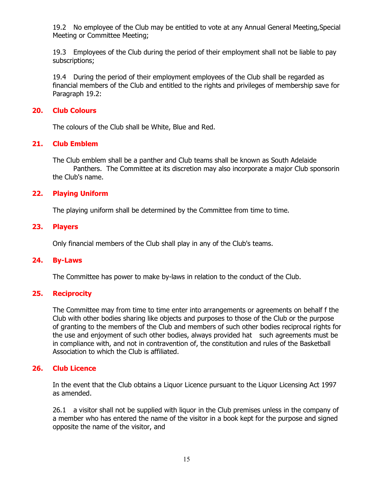19.2 No employee of the Club may be entitled to vote at any Annual General Meeting,Special Meeting or Committee Meeting;

19.3 Employees of the Club during the period of their employment shall not be liable to pay subscriptions;

19.4 During the period of their employment employees of the Club shall be regarded as financial members of the Club and entitled to the rights and privileges of membership save for Paragraph 19.2:

#### **20. Club Colours**

The colours of the Club shall be White, Blue and Red.

#### **21. Club Emblem**

The Club emblem shall be a panther and Club teams shall be known as South Adelaide Panthers. The Committee at its discretion may also incorporate a major Club sponsorin the Club's name.

#### **22. Playing Uniform**

The playing uniform shall be determined by the Committee from time to time.

#### **23. Players**

Only financial members of the Club shall play in any of the Club's teams.

#### **24. By-Laws**

The Committee has power to make by-laws in relation to the conduct of the Club.

## **25. Reciprocity**

The Committee may from time to time enter into arrangements or agreements on behalf f the Club with other bodies sharing like objects and purposes to those of the Club or the purpose of granting to the members of the Club and members of such other bodies reciprocal rights for the use and enjoyment of such other bodies, always provided hat such agreements must be in compliance with, and not in contravention of, the constitution and rules of the Basketball Association to which the Club is affiliated.

### **26. Club Licence**

In the event that the Club obtains a Liquor Licence pursuant to the Liquor Licensing Act 1997 as amended.

26.1 a visitor shall not be supplied with liquor in the Club premises unless in the company of a member who has entered the name of the visitor in a book kept for the purpose and signed opposite the name of the visitor, and